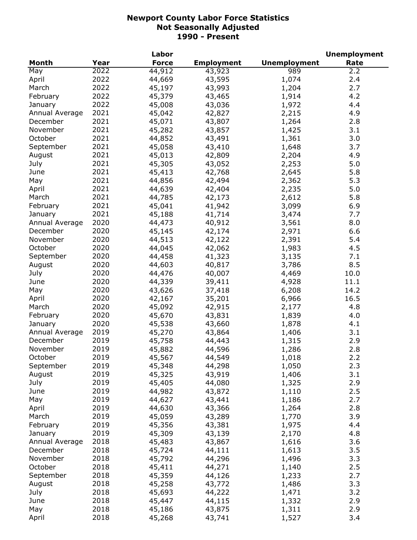|                |      | Labor        |                   |                     | <b>Unemployment</b> |
|----------------|------|--------------|-------------------|---------------------|---------------------|
| <b>Month</b>   | Year | <b>Force</b> | <b>Employment</b> | <b>Unemployment</b> | Rate                |
| May            | 2022 | 44,912       | 43,923            | 989                 | 2.2                 |
| April          | 2022 | 44,669       | 43,595            | 1,074               | 2.4                 |
| March          | 2022 | 45,197       | 43,993            | 1,204               | 2.7                 |
| February       | 2022 | 45,379       | 43,465            | 1,914               | 4.2                 |
| January        | 2022 | 45,008       | 43,036            | 1,972               | 4.4                 |
| Annual Average | 2021 | 45,042       | 42,827            | 2,215               | 4.9                 |
| December       | 2021 | 45,071       | 43,807            | 1,264               | 2.8                 |
| November       | 2021 | 45,282       | 43,857            | 1,425               | 3.1                 |
| October        | 2021 | 44,852       | 43,491            | 1,361               | 3.0                 |
| September      | 2021 | 45,058       | 43,410            | 1,648               | 3.7                 |
| August         | 2021 | 45,013       | 42,809            | 2,204               | 4.9                 |
|                | 2021 |              |                   |                     |                     |
| July           |      | 45,305       | 43,052            | 2,253               | 5.0                 |
| June           | 2021 | 45,413       | 42,768            | 2,645               | 5.8                 |
| May            | 2021 | 44,856       | 42,494            | 2,362               | 5.3                 |
| April          | 2021 | 44,639       | 42,404            | 2,235               | 5.0                 |
| March          | 2021 | 44,785       | 42,173            | 2,612               | 5.8                 |
| February       | 2021 | 45,041       | 41,942            | 3,099               | 6.9                 |
| January        | 2021 | 45,188       | 41,714            | 3,474               | 7.7                 |
| Annual Average | 2020 | 44,473       | 40,912            | 3,561               | 8.0                 |
| December       | 2020 | 45,145       | 42,174            | 2,971               | 6.6                 |
| November       | 2020 | 44,513       | 42,122            | 2,391               | 5.4                 |
| October        | 2020 | 44,045       | 42,062            | 1,983               | 4.5                 |
| September      | 2020 | 44,458       | 41,323            | 3,135               | 7.1                 |
| August         | 2020 | 44,603       | 40,817            | 3,786               | 8.5                 |
| July           | 2020 | 44,476       | 40,007            | 4,469               | 10.0                |
| June           | 2020 | 44,339       | 39,411            | 4,928               | 11.1                |
| May            | 2020 | 43,626       | 37,418            | 6,208               | 14.2                |
| April          | 2020 | 42,167       | 35,201            | 6,966               | 16.5                |
| March          | 2020 | 45,092       | 42,915            | 2,177               | 4.8                 |
| February       | 2020 | 45,670       | 43,831            | 1,839               | 4.0                 |
| January        | 2020 | 45,538       | 43,660            | 1,878               | 4.1                 |
| Annual Average | 2019 | 45,270       | 43,864            | 1,406               | 3.1                 |
| December       | 2019 | 45,758       | 44,443            | 1,315               | 2.9                 |
| November       | 2019 | 45,882       | 44,596            | 1,286               | 2.8                 |
| October        | 2019 | 45,567       | 44,549            | 1,018               | 2.2                 |
| September      | 2019 | 45,348       | 44,298            | 1,050               | 2.3                 |
| August         | 2019 | 45,325       | 43,919            | 1,406               | 3.1                 |
| July           | 2019 | 45,405       | 44,080            | 1,325               | 2.9                 |
| June           | 2019 | 44,982       | 43,872            | 1,110               | 2.5                 |
|                | 2019 |              |                   |                     | 2.7                 |
| May            |      | 44,627       | 43,441            | 1,186               |                     |
| April          | 2019 | 44,630       | 43,366            | 1,264               | 2.8                 |
| March          | 2019 | 45,059       | 43,289            | 1,770               | 3.9                 |
| February       | 2019 | 45,356       | 43,381            | 1,975               | 4.4                 |
| January        | 2019 | 45,309       | 43,139            | 2,170               | 4.8                 |
| Annual Average | 2018 | 45,483       | 43,867            | 1,616               | 3.6                 |
| December       | 2018 | 45,724       | 44,111            | 1,613               | 3.5                 |
| November       | 2018 | 45,792       | 44,296            | 1,496               | 3.3                 |
| October        | 2018 | 45,411       | 44,271            | 1,140               | 2.5                 |
| September      | 2018 | 45,359       | 44,126            | 1,233               | 2.7                 |
| August         | 2018 | 45,258       | 43,772            | 1,486               | 3.3                 |
| July           | 2018 | 45,693       | 44,222            | 1,471               | 3.2                 |
| June           | 2018 | 45,447       | 44,115            | 1,332               | 2.9                 |
| May            | 2018 | 45,186       | 43,875            | 1,311               | 2.9                 |
| April          | 2018 | 45,268       | 43,741            | 1,527               | 3.4                 |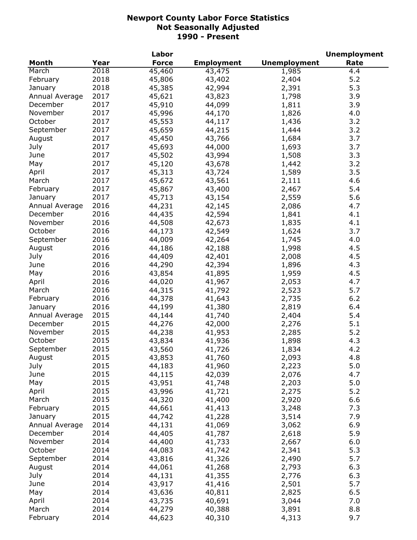|                |      | Labor        |                   |                     | <b>Unemployment</b> |
|----------------|------|--------------|-------------------|---------------------|---------------------|
| Month          | Year | <b>Force</b> | <b>Employment</b> | <b>Unemployment</b> | Rate                |
| March          | 2018 | 45,460       | 43,475            | 1,985               | 4.4                 |
| February       | 2018 | 45,806       | 43,402            | 2,404               | 5.2                 |
| January        | 2018 | 45,385       | 42,994            | 2,391               | 5.3                 |
| Annual Average | 2017 | 45,621       | 43,823            | 1,798               | 3.9                 |
| December       | 2017 | 45,910       | 44,099            | 1,811               | 3.9                 |
| November       | 2017 | 45,996       | 44,170            | 1,826               | 4.0                 |
| October        | 2017 | 45,553       | 44,117            | 1,436               | 3.2                 |
| September      | 2017 | 45,659       | 44,215            | 1,444               | 3.2                 |
| August         | 2017 | 45,450       | 43,766            | 1,684               | 3.7                 |
| July           | 2017 | 45,693       | 44,000            | 1,693               | 3.7                 |
| June           | 2017 | 45,502       | 43,994            | 1,508               | 3.3                 |
| May            | 2017 | 45,120       | 43,678            | 1,442               | 3.2                 |
| April          | 2017 | 45,313       | 43,724            | 1,589               | 3.5                 |
| March          | 2017 |              |                   |                     | 4.6                 |
|                | 2017 | 45,672       | 43,561            | 2,111               | 5.4                 |
| February       |      | 45,867       | 43,400            | 2,467               |                     |
| January        | 2017 | 45,713       | 43,154            | 2,559               | 5.6                 |
| Annual Average | 2016 | 44,231       | 42,145            | 2,086               | 4.7                 |
| December       | 2016 | 44,435       | 42,594            | 1,841               | 4.1                 |
| November       | 2016 | 44,508       | 42,673            | 1,835               | 4.1                 |
| October        | 2016 | 44,173       | 42,549            | 1,624               | 3.7                 |
| September      | 2016 | 44,009       | 42,264            | 1,745               | 4.0                 |
| August         | 2016 | 44,186       | 42,188            | 1,998               | 4.5                 |
| July           | 2016 | 44,409       | 42,401            | 2,008               | 4.5                 |
| June           | 2016 | 44,290       | 42,394            | 1,896               | 4.3                 |
| May            | 2016 | 43,854       | 41,895            | 1,959               | 4.5                 |
| April          | 2016 | 44,020       | 41,967            | 2,053               | 4.7                 |
| March          | 2016 | 44,315       | 41,792            | 2,523               | 5.7                 |
| February       | 2016 | 44,378       | 41,643            | 2,735               | 6.2                 |
| January        | 2016 | 44,199       | 41,380            | 2,819               | 6.4                 |
| Annual Average | 2015 | 44,144       | 41,740            | 2,404               | 5.4                 |
| December       | 2015 | 44,276       | 42,000            | 2,276               | 5.1                 |
| November       | 2015 | 44,238       | 41,953            | 2,285               | 5.2                 |
| October        | 2015 | 43,834       | 41,936            | 1,898               | 4.3                 |
| September      | 2015 | 43,560       | 41,726            | 1,834               | 4.2                 |
| August         | 2015 | 43,853       | 41,760            | 2,093               | 4.8                 |
| July           | 2015 | 44,183       | 41,960            | 2,223               | 5.0                 |
| June           | 2015 | 44,115       | 42,039            | 2,076               | 4.7                 |
| May            | 2015 | 43,951       | 41,748            | 2,203               | 5.0                 |
| April          | 2015 | 43,996       | 41,721            | 2,275               | 5.2                 |
| March          | 2015 | 44,320       | 41,400            | 2,920               | 6.6                 |
| February       | 2015 | 44,661       | 41,413            | 3,248               | 7.3                 |
| January        | 2015 | 44,742       | 41,228            | 3,514               | 7.9                 |
| Annual Average | 2014 | 44,131       | 41,069            | 3,062               | 6.9                 |
| December       | 2014 | 44,405       | 41,787            | 2,618               | 5.9                 |
| November       | 2014 | 44,400       | 41,733            | 2,667               | 6.0                 |
| October        | 2014 | 44,083       | 41,742            | 2,341               | 5.3                 |
| September      | 2014 |              |                   |                     | 5.7                 |
|                |      | 43,816       | 41,326            | 2,490               |                     |
| August         | 2014 | 44,061       | 41,268            | 2,793               | 6.3                 |
| July           | 2014 | 44,131       | 41,355            | 2,776               | 6.3                 |
| June           | 2014 | 43,917       | 41,416            | 2,501               | 5.7                 |
| May            | 2014 | 43,636       | 40,811            | 2,825               | 6.5                 |
| April          | 2014 | 43,735       | 40,691            | 3,044               | 7.0                 |
| March          | 2014 | 44,279       | 40,388            | 3,891               | 8.8                 |
| February       | 2014 | 44,623       | 40,310            | 4,313               | 9.7                 |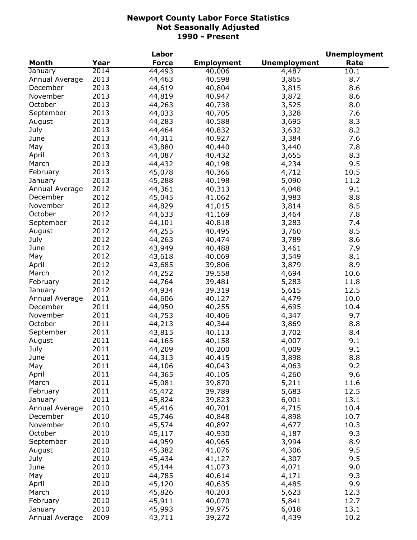|                |      | Labor        |                   |                     | <b>Unemployment</b> |
|----------------|------|--------------|-------------------|---------------------|---------------------|
| Month          | Year | <b>Force</b> | <b>Employment</b> | <b>Unemployment</b> | Rate                |
| January        | 2014 | 44,493       | 40,006            | 4,487               | 10.1                |
| Annual Average | 2013 | 44,463       | 40,598            | 3,865               | 8.7                 |
| December       | 2013 | 44,619       | 40,804            | 3,815               | 8.6                 |
| November       | 2013 | 44,819       | 40,947            | 3,872               | 8.6                 |
| October        | 2013 | 44,263       | 40,738            | 3,525               | 8.0                 |
| September      | 2013 | 44,033       | 40,705            | 3,328               | 7.6                 |
| August         | 2013 | 44,283       | 40,588            | 3,695               | 8.3                 |
| July           | 2013 | 44,464       | 40,832            | 3,632               | 8.2                 |
| June           | 2013 | 44,311       | 40,927            | 3,384               | 7.6                 |
| May            | 2013 | 43,880       | 40,440            | 3,440               | 7.8                 |
| April          | 2013 | 44,087       | 40,432            | 3,655               | 8.3                 |
| March          | 2013 | 44,432       | 40,198            |                     | 9.5                 |
|                | 2013 |              |                   | 4,234               |                     |
| February       |      | 45,078       | 40,366            | 4,712               | 10.5                |
| January        | 2013 | 45,288       | 40,198            | 5,090               | 11.2                |
| Annual Average | 2012 | 44,361       | 40,313            | 4,048               | 9.1                 |
| December       | 2012 | 45,045       | 41,062            | 3,983               | 8.8                 |
| November       | 2012 | 44,829       | 41,015            | 3,814               | 8.5                 |
| October        | 2012 | 44,633       | 41,169            | 3,464               | 7.8                 |
| September      | 2012 | 44,101       | 40,818            | 3,283               | 7.4                 |
| August         | 2012 | 44,255       | 40,495            | 3,760               | 8.5                 |
| July           | 2012 | 44,263       | 40,474            | 3,789               | 8.6                 |
| June           | 2012 | 43,949       | 40,488            | 3,461               | 7.9                 |
| May            | 2012 | 43,618       | 40,069            | 3,549               | 8.1                 |
| April          | 2012 | 43,685       | 39,806            | 3,879               | 8.9                 |
| March          | 2012 | 44,252       | 39,558            | 4,694               | 10.6                |
| February       | 2012 | 44,764       | 39,481            | 5,283               | 11.8                |
| January        | 2012 | 44,934       | 39,319            | 5,615               | 12.5                |
| Annual Average | 2011 | 44,606       | 40,127            | 4,479               | 10.0                |
| December       | 2011 | 44,950       | 40,255            | 4,695               | 10.4                |
| November       | 2011 | 44,753       | 40,406            | 4,347               | 9.7                 |
| October        | 2011 | 44,213       | 40,344            | 3,869               | 8.8                 |
| September      | 2011 | 43,815       | 40,113            | 3,702               | 8.4                 |
| August         | 2011 | 44,165       | 40,158            | 4,007               | 9.1                 |
| July           | 2011 | 44,209       | 40,200            | 4,009               | 9.1                 |
| June           | 2011 | 44,313       | 40,415            | 3,898               | 8.8                 |
| May            | 2011 | 44,106       | 40,043            | 4,063               | 9.2                 |
| April          | 2011 | 44,365       | 40,105            | 4,260               | 9.6                 |
| March          | 2011 | 45,081       | 39,870            | 5,211               | 11.6                |
| February       | 2011 | 45,472       | 39,789            | 5,683               | 12.5                |
| January        | 2011 | 45,824       | 39,823            | 6,001               | 13.1                |
| Annual Average | 2010 | 45,416       | 40,701            | 4,715               | 10.4                |
| December       | 2010 | 45,746       | 40,848            | 4,898               | 10.7                |
| November       |      |              |                   |                     |                     |
|                | 2010 | 45,574       | 40,897            | 4,677               | 10.3                |
| October        | 2010 | 45,117       | 40,930            | 4,187               | 9.3                 |
| September      | 2010 | 44,959       | 40,965            | 3,994               | 8.9                 |
| August         | 2010 | 45,382       | 41,076            | 4,306               | 9.5                 |
| July           | 2010 | 45,434       | 41,127            | 4,307               | 9.5                 |
| June           | 2010 | 45,144       | 41,073            | 4,071               | 9.0                 |
| May            | 2010 | 44,785       | 40,614            | 4,171               | 9.3                 |
| April          | 2010 | 45,120       | 40,635            | 4,485               | 9.9                 |
| March          | 2010 | 45,826       | 40,203            | 5,623               | 12.3                |
| February       | 2010 | 45,911       | 40,070            | 5,841               | 12.7                |
| January        | 2010 | 45,993       | 39,975            | 6,018               | 13.1                |
| Annual Average | 2009 | 43,711       | 39,272            | 4,439               | 10.2                |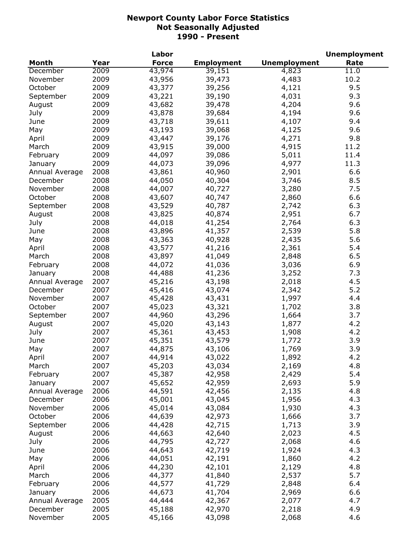|                |      | Labor        |                   |                     | <b>Unemployment</b> |
|----------------|------|--------------|-------------------|---------------------|---------------------|
| <b>Month</b>   | Year | <b>Force</b> | <b>Employment</b> | <b>Unemployment</b> | Rate                |
| December       | 2009 | 43,974       | 39,151            | 4,823               | 11.0                |
| November       | 2009 | 43,956       | 39,473            | 4,483               | 10.2                |
| October        | 2009 | 43,377       | 39,256            | 4,121               | 9.5                 |
| September      | 2009 | 43,221       | 39,190            | 4,031               | 9.3                 |
| August         | 2009 | 43,682       | 39,478            | 4,204               | 9.6                 |
| July           | 2009 | 43,878       | 39,684            | 4,194               | 9.6                 |
| June           | 2009 | 43,718       | 39,611            | 4,107               | 9.4                 |
| May            | 2009 | 43,193       | 39,068            | 4,125               | 9.6                 |
| April          | 2009 | 43,447       | 39,176            | 4,271               | 9.8                 |
| March          | 2009 | 43,915       | 39,000            | 4,915               | 11.2                |
| February       | 2009 | 44,097       | 39,086            | 5,011               | 11.4                |
| January        | 2009 | 44,073       | 39,096            | 4,977               | 11.3                |
| Annual Average | 2008 | 43,861       | 40,960            | 2,901               | 6.6                 |
| December       | 2008 | 44,050       | 40,304            | 3,746               | 8.5                 |
| November       | 2008 | 44,007       | 40,727            | 3,280               | 7.5                 |
| October        | 2008 | 43,607       | 40,747            | 2,860               | 6.6                 |
| September      | 2008 | 43,529       | 40,787            | 2,742               | 6.3                 |
| August         | 2008 | 43,825       | 40,874            | 2,951               | 6.7                 |
| July           | 2008 | 44,018       | 41,254            | 2,764               | 6.3                 |
| June           | 2008 | 43,896       | 41,357            | 2,539               | 5.8                 |
| May            | 2008 | 43,363       | 40,928            | 2,435               | 5.6                 |
|                | 2008 | 43,577       |                   | 2,361               | 5.4                 |
| April          |      |              | 41,216            |                     |                     |
| March          | 2008 | 43,897       | 41,049            | 2,848               | 6.5                 |
| February       | 2008 | 44,072       | 41,036            | 3,036               | 6.9                 |
| January        | 2008 | 44,488       | 41,236            | 3,252               | 7.3                 |
| Annual Average | 2007 | 45,216       | 43,198            | 2,018               | 4.5                 |
| December       | 2007 | 45,416       | 43,074            | 2,342               | 5.2                 |
| November       | 2007 | 45,428       | 43,431            | 1,997               | 4.4                 |
| October        | 2007 | 45,023       | 43,321            | 1,702               | 3.8                 |
| September      | 2007 | 44,960       | 43,296            | 1,664               | 3.7                 |
| August         | 2007 | 45,020       | 43,143            | 1,877               | 4.2                 |
| July           | 2007 | 45,361       | 43,453            | 1,908               | 4.2                 |
| June           | 2007 | 45,351       | 43,579            | 1,772               | 3.9                 |
| May            | 2007 | 44,875       | 43,106            | 1,769               | 3.9                 |
| April          | 2007 | 44,914       | 43,022            | 1,892               | 4.2                 |
| March          | 2007 | 45,203       | 43,034            | 2,169               | 4.8                 |
| February       | 2007 | 45,387       | 42,958            | 2,429               | 5.4                 |
| January        | 2007 | 45,652       | 42,959            | 2,693               | 5.9                 |
| Annual Average | 2006 | 44,591       | 42,456            | 2,135               | 4.8                 |
| December       | 2006 | 45,001       | 43,045            | 1,956               | 4.3                 |
| November       | 2006 | 45,014       | 43,084            | 1,930               | 4.3                 |
| October        | 2006 | 44,639       | 42,973            | 1,666               | 3.7                 |
| September      | 2006 | 44,428       | 42,715            | 1,713               | 3.9                 |
| August         | 2006 | 44,663       | 42,640            | 2,023               | 4.5                 |
| July           | 2006 | 44,795       | 42,727            | 2,068               | 4.6                 |
| June           | 2006 | 44,643       | 42,719            | 1,924               | 4.3                 |
| May            | 2006 | 44,051       | 42,191            | 1,860               | 4.2                 |
| April          | 2006 | 44,230       | 42,101            | 2,129               | 4.8                 |
| March          | 2006 | 44,377       | 41,840            | 2,537               | 5.7                 |
| February       | 2006 | 44,577       | 41,729            | 2,848               | 6.4                 |
| January        | 2006 | 44,673       | 41,704            | 2,969               | 6.6                 |
| Annual Average | 2005 | 44,444       | 42,367            | 2,077               | 4.7                 |
| December       | 2005 | 45,188       | 42,970            | 2,218               | 4.9                 |
| November       | 2005 | 45,166       | 43,098            | 2,068               | 4.6                 |
|                |      |              |                   |                     |                     |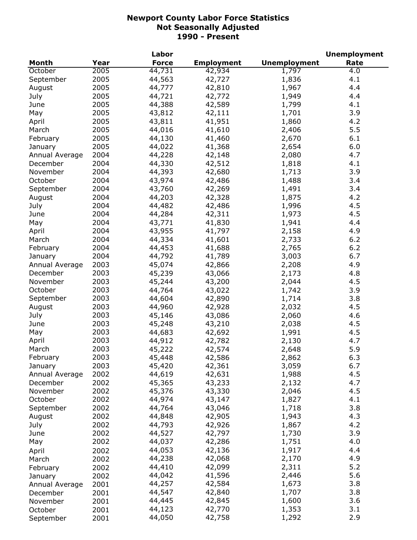|                |      | Labor        |                   |                     | <b>Unemployment</b> |
|----------------|------|--------------|-------------------|---------------------|---------------------|
| <b>Month</b>   | Year | <b>Force</b> | <b>Employment</b> | <b>Unemployment</b> | Rate                |
| October        | 2005 | 44,731       | 42,934            | 1,797               | 4.0                 |
| September      | 2005 | 44,563       | 42,727            | 1,836               | 4.1                 |
| August         | 2005 | 44,777       | 42,810            | 1,967               | 4.4                 |
| July           | 2005 | 44,721       | 42,772            | 1,949               | 4.4                 |
| June           | 2005 | 44,388       | 42,589            | 1,799               | 4.1                 |
| May            | 2005 | 43,812       | 42,111            | 1,701               | 3.9                 |
| April          | 2005 | 43,811       | 41,951            | 1,860               | 4.2                 |
| March          | 2005 | 44,016       | 41,610            | 2,406               | 5.5                 |
| February       | 2005 | 44,130       | 41,460            | 2,670               | 6.1                 |
| January        | 2005 | 44,022       | 41,368            | 2,654               | 6.0                 |
| Annual Average | 2004 | 44,228       | 42,148            | 2,080               | 4.7                 |
| December       | 2004 | 44,330       | 42,512            | 1,818               | 4.1                 |
| November       | 2004 | 44,393       | 42,680            | 1,713               | 3.9                 |
| October        | 2004 | 43,974       | 42,486            | 1,488               | 3.4                 |
| September      | 2004 | 43,760       | 42,269            | 1,491               | 3.4                 |
| August         | 2004 | 44,203       | 42,328            | 1,875               | 4.2                 |
|                |      |              |                   |                     | 4.5                 |
| July           | 2004 | 44,482       | 42,486            | 1,996               |                     |
| June           | 2004 | 44,284       | 42,311            | 1,973               | 4.5                 |
| May            | 2004 | 43,771       | 41,830            | 1,941               | 4.4                 |
| April          | 2004 | 43,955       | 41,797            | 2,158               | 4.9                 |
| March          | 2004 | 44,334       | 41,601            | 2,733               | 6.2                 |
| February       | 2004 | 44,453       | 41,688            | 2,765               | 6.2                 |
| January        | 2004 | 44,792       | 41,789            | 3,003               | 6.7                 |
| Annual Average | 2003 | 45,074       | 42,866            | 2,208               | 4.9                 |
| December       | 2003 | 45,239       | 43,066            | 2,173               | 4.8                 |
| November       | 2003 | 45,244       | 43,200            | 2,044               | 4.5                 |
| October        | 2003 | 44,764       | 43,022            | 1,742               | 3.9                 |
| September      | 2003 | 44,604       | 42,890            | 1,714               | 3.8                 |
| August         | 2003 | 44,960       | 42,928            | 2,032               | 4.5                 |
| July           | 2003 | 45,146       | 43,086            | 2,060               | 4.6                 |
| June           | 2003 | 45,248       | 43,210            | 2,038               | 4.5                 |
| May            | 2003 | 44,683       | 42,692            | 1,991               | 4.5                 |
| April          | 2003 | 44,912       | 42,782            | 2,130               | 4.7                 |
| March          | 2003 | 45,222       | 42,574            | 2,648               | 5.9                 |
| February       | 2003 | 45,448       | 42,586            | 2,862               | 6.3                 |
| January        | 2003 | 45,420       | 42,361            | 3,059               | 6.7                 |
| Annual Average | 2002 | 44,619       | 42,631            | 1,988               | 4.5                 |
| December       | 2002 | 45,365       | 43,233            | 2,132               | 4.7                 |
| November       | 2002 | 45,376       | 43,330            | 2,046               | 4.5                 |
| October        | 2002 | 44,974       | 43,147            | 1,827               | 4.1                 |
| September      | 2002 | 44,764       | 43,046            | 1,718               | 3.8                 |
| August         | 2002 | 44,848       | 42,905            | 1,943               | 4.3                 |
| July           | 2002 | 44,793       | 42,926            | 1,867               | 4.2                 |
| June           | 2002 | 44,527       | 42,797            | 1,730               | 3.9                 |
| May            | 2002 | 44,037       | 42,286            | 1,751               | 4.0                 |
| April          | 2002 | 44,053       | 42,136            | 1,917               | 4.4                 |
| March          | 2002 | 44,238       | 42,068            | 2,170               | 4.9                 |
| February       | 2002 | 44,410       | 42,099            | 2,311               | 5.2                 |
|                | 2002 | 44,042       | 41,596            | 2,446               | 5.6                 |
| January        |      | 44,257       | 42,584            | 1,673               | 3.8                 |
| Annual Average | 2001 | 44,547       | 42,840            | 1,707               | 3.8                 |
| December       | 2001 | 44,445       | 42,845            | 1,600               | 3.6                 |
| November       | 2001 | 44,123       | 42,770            | 1,353               | 3.1                 |
| October        | 2001 |              |                   |                     |                     |
| September      | 2001 | 44,050       | 42,758            | 1,292               | 2.9                 |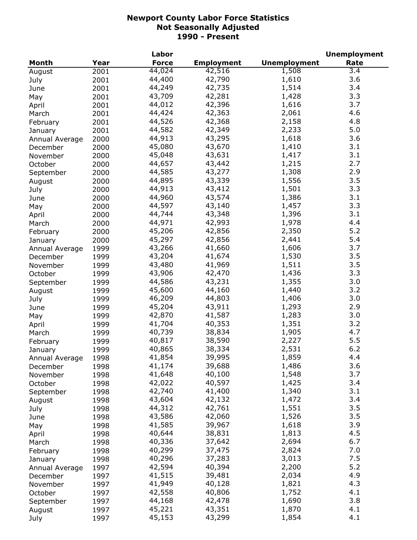|                            |      | Labor        |                   |                     | <b>Unemployment</b> |
|----------------------------|------|--------------|-------------------|---------------------|---------------------|
| Month                      | Year | <b>Force</b> | <b>Employment</b> | <b>Unemployment</b> | Rate                |
| August                     | 2001 | 44,024       | 42,516            | 1,508               | 3.4                 |
| July                       | 2001 | 44,400       | 42,790            | 1,610               | 3.6                 |
| June                       | 2001 | 44,249       | 42,735            | 1,514               | 3.4                 |
| May                        | 2001 | 43,709       | 42,281            | 1,428               | 3.3                 |
| April                      | 2001 | 44,012       | 42,396            | 1,616               | 3.7                 |
| March                      | 2001 | 44,424       | 42,363            | 2,061               | 4.6                 |
| February                   | 2001 | 44,526       | 42,368            | 2,158               | 4.8                 |
| January                    | 2001 | 44,582       | 42,349            | 2,233               | 5.0                 |
|                            | 2000 | 44,913       | 43,295            | 1,618               | 3.6                 |
| Annual Average<br>December | 2000 | 45,080       | 43,670            | 1,410               | 3.1                 |
|                            |      | 45,048       | 43,631            | 1,417               | 3.1                 |
| November                   | 2000 |              |                   |                     | 2.7                 |
| October                    | 2000 | 44,657       | 43,442            | 1,215               |                     |
| September                  | 2000 | 44,585       | 43,277            | 1,308               | 2.9                 |
| August                     | 2000 | 44,895       | 43,339            | 1,556               | 3.5                 |
| July                       | 2000 | 44,913       | 43,412            | 1,501               | 3.3                 |
| June                       | 2000 | 44,960       | 43,574            | 1,386               | 3.1                 |
| May                        | 2000 | 44,597       | 43,140            | 1,457               | 3.3                 |
| April                      | 2000 | 44,744       | 43,348            | 1,396               | 3.1                 |
| March                      | 2000 | 44,971       | 42,993            | 1,978               | 4.4                 |
| February                   | 2000 | 45,206       | 42,856            | 2,350               | 5.2                 |
| January                    | 2000 | 45,297       | 42,856            | 2,441               | 5.4                 |
| Annual Average             | 1999 | 43,266       | 41,660            | 1,606               | 3.7                 |
| December                   | 1999 | 43,204       | 41,674            | 1,530               | 3.5                 |
| November                   | 1999 | 43,480       | 41,969            | 1,511               | 3.5                 |
| October                    | 1999 | 43,906       | 42,470            | 1,436               | 3.3                 |
| September                  | 1999 | 44,586       | 43,231            | 1,355               | 3.0                 |
| August                     | 1999 | 45,600       | 44,160            | 1,440               | 3.2                 |
| July                       | 1999 | 46,209       | 44,803            | 1,406               | 3.0                 |
| June                       | 1999 | 45,204       | 43,911            | 1,293               | 2.9                 |
| May                        | 1999 | 42,870       | 41,587            | 1,283               | 3.0                 |
| April                      | 1999 | 41,704       | 40,353            | 1,351               | 3.2                 |
| March                      | 1999 | 40,739       | 38,834            | 1,905               | 4.7                 |
| February                   | 1999 | 40,817       | 38,590            | 2,227               | 5.5                 |
|                            |      | 40,865       | 38,334            | 2,531               | 6.2                 |
| January                    | 1999 |              |                   |                     |                     |
| Annual Average             | 1998 | 41,854       | 39,995            | 1,859               | 4.4                 |
| December                   | 1998 | 41,174       | 39,688            | 1,486               | 3.6                 |
| November                   | 1998 | 41,648       | 40,100            | 1,548               | 3.7                 |
| October                    | 1998 | 42,022       | 40,597            | 1,425               | 3.4                 |
| September                  | 1998 | 42,740       | 41,400            | 1,340               | 3.1                 |
| August                     | 1998 | 43,604       | 42,132            | 1,472               | 3.4                 |
| July                       | 1998 | 44,312       | 42,761            | 1,551               | 3.5                 |
| June                       | 1998 | 43,586       | 42,060            | 1,526               | 3.5                 |
| May                        | 1998 | 41,585       | 39,967            | 1,618               | 3.9                 |
| April                      | 1998 | 40,644       | 38,831            | 1,813               | 4.5                 |
| March                      | 1998 | 40,336       | 37,642            | 2,694               | 6.7                 |
| February                   | 1998 | 40,299       | 37,475            | 2,824               | 7.0                 |
| January                    | 1998 | 40,296       | 37,283            | 3,013               | 7.5                 |
| Annual Average             | 1997 | 42,594       | 40,394            | 2,200               | 5.2                 |
| December                   | 1997 | 41,515       | 39,481            | 2,034               | 4.9                 |
| November                   | 1997 | 41,949       | 40,128            | 1,821               | 4.3                 |
| October                    | 1997 | 42,558       | 40,806            | 1,752               | 4.1                 |
| September                  | 1997 | 44,168       | 42,478            | 1,690               | 3.8                 |
| August                     | 1997 | 45,221       | 43,351            | 1,870               | 4.1                 |
| July                       | 1997 | 45,153       | 43,299            | 1,854               | 4.1                 |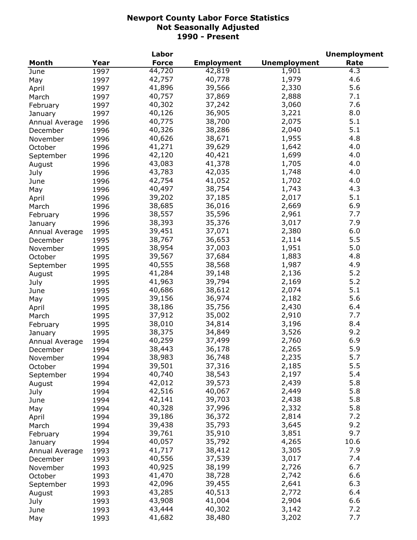|                |      | Labor            |                   |                     | <b>Unemployment</b> |
|----------------|------|------------------|-------------------|---------------------|---------------------|
| Month          | Year | <b>Force</b>     | <b>Employment</b> | <b>Unemployment</b> | Rate                |
| June           | 1997 | 44,720           | 42,819            | 1,901               | 4.3                 |
| May            | 1997 | 42,757           | 40,778            | 1,979               | 4.6                 |
| April          | 1997 | 41,896           | 39,566            | 2,330               | 5.6                 |
| March          | 1997 | 40,757           | 37,869            | 2,888               | 7.1                 |
| February       | 1997 | 40,302           | 37,242            | 3,060               | 7.6                 |
| January        | 1997 | 40,126           | 36,905            | 3,221               | 8.0                 |
| Annual Average | 1996 | 40,775           | 38,700            | 2,075               | 5.1                 |
| December       | 1996 | 40,326           | 38,286            | 2,040               | 5.1                 |
| November       | 1996 | 40,626           | 38,671            | 1,955               | 4.8                 |
|                | 1996 | 41,271           | 39,629            | 1,642               | 4.0                 |
| October        |      | 42,120           | 40,421            | 1,699               | 4.0                 |
| September      | 1996 | 43,083           | 41,378            | 1,705               | 4.0                 |
| August         | 1996 |                  |                   |                     |                     |
| July           | 1996 | 43,783           | 42,035            | 1,748               | 4.0                 |
| June           | 1996 | 42,754           | 41,052            | 1,702               | 4.0                 |
| May            | 1996 | 40,497           | 38,754            | 1,743               | 4.3                 |
| April          | 1996 | 39,202           | 37,185            | 2,017               | 5.1                 |
| March          | 1996 | 38,685           | 36,016            | 2,669               | 6.9                 |
| February       | 1996 | 38,557           | 35,596            | 2,961               | 7.7                 |
| January        | 1996 | 38,393           | 35,376            | 3,017               | 7.9                 |
| Annual Average | 1995 | 39,451           | 37,071            | 2,380               | 6.0                 |
| December       | 1995 | 38,767           | 36,653            | 2,114               | 5.5                 |
| November       | 1995 | 38,954           | 37,003            | 1,951               | 5.0                 |
| October        | 1995 | 39,567           | 37,684            | 1,883               | 4.8                 |
| September      | 1995 | 40,555           | 38,568            | 1,987               | 4.9                 |
| August         | 1995 | 41,284           | 39,148            | 2,136               | 5.2                 |
| July           | 1995 | 41,963           | 39,794            | 2,169               | 5.2                 |
| June           | 1995 | 40,686           | 38,612            | 2,074               | 5.1                 |
| May            | 1995 | 39,156           | 36,974            | 2,182               | 5.6                 |
| April          | 1995 | 38,186           | 35,756            | 2,430               | 6.4                 |
| March          | 1995 | 37,912           | 35,002            | 2,910               | 7.7                 |
| February       | 1995 | 38,010           | 34,814            | 3,196               | 8.4                 |
| January        | 1995 | 38,375           | 34,849            | 3,526               | 9.2                 |
| Annual Average | 1994 | 40,259           | 37,499            | 2,760               | 6.9                 |
| December       | 1994 | 38,443           | 36,178            | 2,265               | 5.9                 |
| November       | 1994 | 38,983           | 36,748            | 2,235               | 5.7                 |
|                | 1994 | 39,501           | 37,316            | 2,185               | 5.5                 |
| October        | 1994 | 40,740           | 38,543            | 2,197               | 5.4                 |
| September      |      | 42,012           | 39,573            | 2,439               | 5.8                 |
| August         | 1994 |                  | 40,067            | 2,449               | 5.8                 |
| July           | 1994 | 42,516<br>42,141 |                   |                     | 5.8                 |
| June           | 1994 |                  | 39,703            | 2,438               |                     |
| May            | 1994 | 40,328           | 37,996            | 2,332               | 5.8                 |
| April          | 1994 | 39,186           | 36,372            | 2,814               | 7.2                 |
| March          | 1994 | 39,438           | 35,793            | 3,645               | 9.2                 |
| February       | 1994 | 39,761           | 35,910            | 3,851               | 9.7                 |
| January        | 1994 | 40,057           | 35,792            | 4,265               | 10.6                |
| Annual Average | 1993 | 41,717           | 38,412            | 3,305               | 7.9                 |
| December       | 1993 | 40,556           | 37,539            | 3,017               | 7.4                 |
| November       | 1993 | 40,925           | 38,199            | 2,726               | 6.7                 |
| October        | 1993 | 41,470           | 38,728            | 2,742               | 6.6                 |
| September      | 1993 | 42,096           | 39,455            | 2,641               | 6.3                 |
| August         | 1993 | 43,285           | 40,513            | 2,772               | 6.4                 |
| July           | 1993 | 43,908           | 41,004            | 2,904               | 6.6                 |
| June           | 1993 | 43,444           | 40,302            | 3,142               | 7.2                 |
| May            | 1993 | 41,682           | 38,480            | 3,202               | 7.7                 |